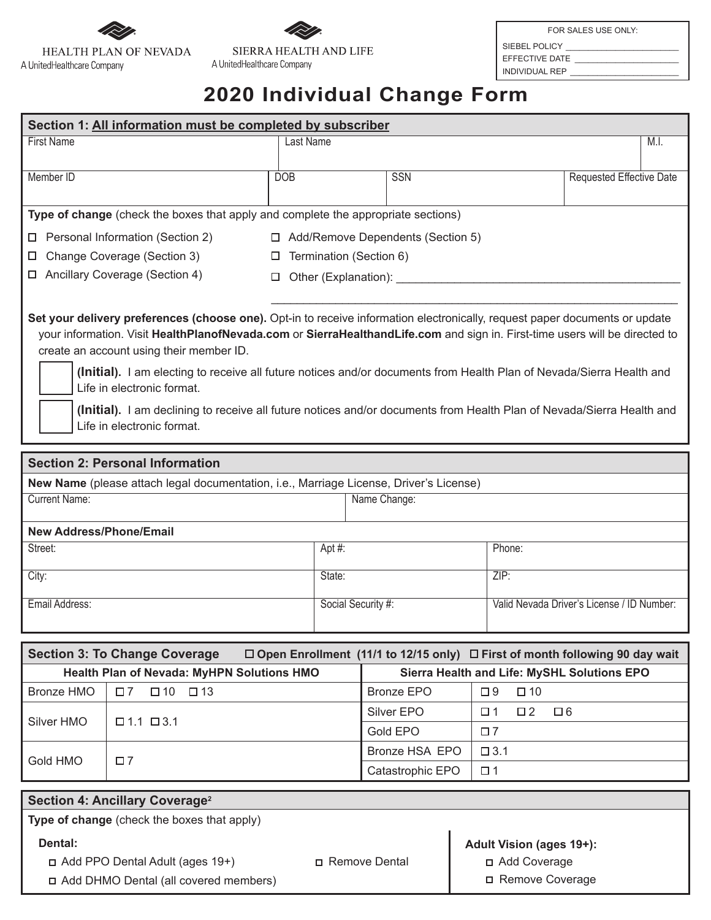



FOR SALES USE ONLY:

SIEBEL POLICY EFFECTIVE DATE

INDIVIDUAL REP \_\_\_\_\_\_\_\_\_\_\_\_\_\_\_\_\_\_\_\_\_\_\_\_

## **2020 Individual Change Form**

| Section 1: All information must be completed by subscriber                                                                                                                                                                                                                                                                                                                                                                                                                                                                                                                                                          |                                        |                                                                                   |                    |                  |                          |               |                                                                                         |                                            |      |  |
|---------------------------------------------------------------------------------------------------------------------------------------------------------------------------------------------------------------------------------------------------------------------------------------------------------------------------------------------------------------------------------------------------------------------------------------------------------------------------------------------------------------------------------------------------------------------------------------------------------------------|----------------------------------------|-----------------------------------------------------------------------------------|--------------------|------------------|--------------------------|---------------|-----------------------------------------------------------------------------------------|--------------------------------------------|------|--|
| <b>First Name</b>                                                                                                                                                                                                                                                                                                                                                                                                                                                                                                                                                                                                   |                                        |                                                                                   | <b>Last Name</b>   |                  |                          |               |                                                                                         |                                            | M.I. |  |
|                                                                                                                                                                                                                                                                                                                                                                                                                                                                                                                                                                                                                     |                                        |                                                                                   |                    |                  |                          |               |                                                                                         |                                            |      |  |
| Member ID                                                                                                                                                                                                                                                                                                                                                                                                                                                                                                                                                                                                           |                                        | <b>DOB</b>                                                                        |                    |                  | SSN                      |               |                                                                                         | Requested Effective Date                   |      |  |
|                                                                                                                                                                                                                                                                                                                                                                                                                                                                                                                                                                                                                     |                                        | Type of change (check the boxes that apply and complete the appropriate sections) |                    |                  |                          |               |                                                                                         |                                            |      |  |
| □ Personal Information (Section 2)<br>□ Add/Remove Dependents (Section 5)                                                                                                                                                                                                                                                                                                                                                                                                                                                                                                                                           |                                        |                                                                                   |                    |                  |                          |               |                                                                                         |                                            |      |  |
| □ Change Coverage (Section 3)<br>$\Box$ Termination (Section 6)                                                                                                                                                                                                                                                                                                                                                                                                                                                                                                                                                     |                                        |                                                                                   |                    |                  |                          |               |                                                                                         |                                            |      |  |
| □ Ancillary Coverage (Section 4)<br>D Other (Explanation): ______________                                                                                                                                                                                                                                                                                                                                                                                                                                                                                                                                           |                                        |                                                                                   |                    |                  |                          |               |                                                                                         |                                            |      |  |
|                                                                                                                                                                                                                                                                                                                                                                                                                                                                                                                                                                                                                     |                                        |                                                                                   |                    |                  |                          |               |                                                                                         |                                            |      |  |
| Set your delivery preferences (choose one). Opt-in to receive information electronically, request paper documents or update<br>your information. Visit HealthPlanofNevada.com or SierraHealthandLife.com and sign in. First-time users will be directed to<br>create an account using their member ID.<br>(Initial). I am electing to receive all future notices and/or documents from Health Plan of Nevada/Sierra Health and<br>Life in electronic format.<br>(Initial). I am declining to receive all future notices and/or documents from Health Plan of Nevada/Sierra Health and<br>Life in electronic format. |                                        |                                                                                   |                    |                  |                          |               |                                                                                         |                                            |      |  |
| <b>Section 2: Personal Information</b>                                                                                                                                                                                                                                                                                                                                                                                                                                                                                                                                                                              |                                        |                                                                                   |                    |                  |                          |               |                                                                                         |                                            |      |  |
| New Name (please attach legal documentation, i.e., Marriage License, Driver's License)                                                                                                                                                                                                                                                                                                                                                                                                                                                                                                                              |                                        |                                                                                   |                    |                  |                          |               |                                                                                         |                                            |      |  |
| <b>Current Name:</b><br>Name Change:                                                                                                                                                                                                                                                                                                                                                                                                                                                                                                                                                                                |                                        |                                                                                   |                    |                  |                          |               |                                                                                         |                                            |      |  |
|                                                                                                                                                                                                                                                                                                                                                                                                                                                                                                                                                                                                                     |                                        |                                                                                   |                    |                  |                          |               |                                                                                         |                                            |      |  |
| <b>New Address/Phone/Email</b><br>Street:                                                                                                                                                                                                                                                                                                                                                                                                                                                                                                                                                                           |                                        |                                                                                   | Apt#:<br>Phone:    |                  |                          |               |                                                                                         |                                            |      |  |
|                                                                                                                                                                                                                                                                                                                                                                                                                                                                                                                                                                                                                     |                                        |                                                                                   |                    |                  |                          |               |                                                                                         |                                            |      |  |
| City:                                                                                                                                                                                                                                                                                                                                                                                                                                                                                                                                                                                                               |                                        |                                                                                   | State:             |                  |                          |               | ZIP:                                                                                    |                                            |      |  |
| Email Address:                                                                                                                                                                                                                                                                                                                                                                                                                                                                                                                                                                                                      |                                        |                                                                                   | Social Security #: |                  |                          |               |                                                                                         | Valid Nevada Driver's License / ID Number: |      |  |
|                                                                                                                                                                                                                                                                                                                                                                                                                                                                                                                                                                                                                     |                                        |                                                                                   |                    |                  |                          |               |                                                                                         |                                            |      |  |
|                                                                                                                                                                                                                                                                                                                                                                                                                                                                                                                                                                                                                     | <b>Section 3: To Change Coverage</b>   |                                                                                   |                    |                  |                          |               | $\Box$ Open Enrollment (11/1 to 12/15 only) $\Box$ First of month following 90 day wait |                                            |      |  |
| Health Plan of Nevada: MyHPN Solutions HMO                                                                                                                                                                                                                                                                                                                                                                                                                                                                                                                                                                          |                                        |                                                                                   |                    |                  |                          |               | Sierra Health and Life: MySHL Solutions EPO                                             |                                            |      |  |
| <b>Bronze HMO</b>                                                                                                                                                                                                                                                                                                                                                                                                                                                                                                                                                                                                   | $\square$ 7<br>$\Box 10 \quad \Box 13$ |                                                                                   |                    |                  | <b>Bronze EPO</b>        |               | $\square$ 9<br>$\square$ 10                                                             |                                            |      |  |
| Silver HMO                                                                                                                                                                                                                                                                                                                                                                                                                                                                                                                                                                                                          | $\Box$ 1.1 $\Box$ 3.1                  |                                                                                   |                    |                  | Silver EPO               |               | $\square$ 2<br>$\Box$ 6<br>$\square$ 1                                                  |                                            |      |  |
|                                                                                                                                                                                                                                                                                                                                                                                                                                                                                                                                                                                                                     |                                        |                                                                                   |                    |                  | Gold EPO                 |               | $\square$ 7                                                                             |                                            |      |  |
| Gold HMO<br>$\square$ 7                                                                                                                                                                                                                                                                                                                                                                                                                                                                                                                                                                                             |                                        |                                                                                   |                    | Bronze HSA EPO   |                          | $\square$ 3.1 |                                                                                         |                                            |      |  |
|                                                                                                                                                                                                                                                                                                                                                                                                                                                                                                                                                                                                                     |                                        |                                                                                   |                    | Catastrophic EPO |                          |               | $\Box$ 1                                                                                |                                            |      |  |
| Section 4: Ancillary Coverage <sup>2</sup>                                                                                                                                                                                                                                                                                                                                                                                                                                                                                                                                                                          |                                        |                                                                                   |                    |                  |                          |               |                                                                                         |                                            |      |  |
| Type of change (check the boxes that apply)                                                                                                                                                                                                                                                                                                                                                                                                                                                                                                                                                                         |                                        |                                                                                   |                    |                  |                          |               |                                                                                         |                                            |      |  |
| Dental:                                                                                                                                                                                                                                                                                                                                                                                                                                                                                                                                                                                                             |                                        |                                                                                   |                    |                  | Adult Vision (ages 19+): |               |                                                                                         |                                            |      |  |
| □ Add PPO Dental Adult (ages 19+)                                                                                                                                                                                                                                                                                                                                                                                                                                                                                                                                                                                   |                                        |                                                                                   |                    | □ Remove Dental  |                          |               | □ Add Coverage                                                                          |                                            |      |  |
| □ Add DHMO Dental (all covered members)                                                                                                                                                                                                                                                                                                                                                                                                                                                                                                                                                                             |                                        |                                                                                   |                    |                  |                          |               | □ Remove Coverage                                                                       |                                            |      |  |